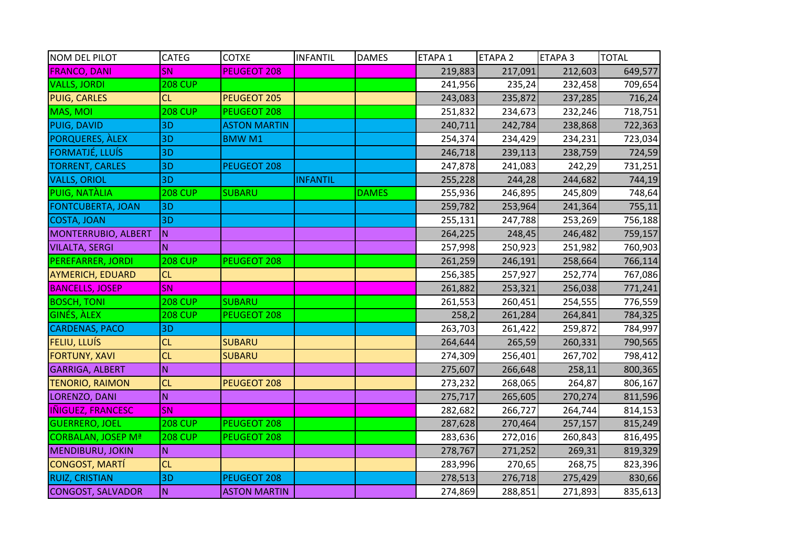| NOM DEL PILOT             | CATEG          | <b>COTXE</b>        | <b>INFANTIL</b> | <b>DAMES</b> | ETAPA <sub>1</sub> | ETAPA <sub>2</sub> | ETAPA 3 | <b>TOTAL</b> |
|---------------------------|----------------|---------------------|-----------------|--------------|--------------------|--------------------|---------|--------------|
| <b>FRANCO, DANI</b>       | SN             | <b>PEUGEOT 208</b>  |                 |              | 219,883            | 217,091            | 212,603 | 649,577      |
| <b>VALLS, JORDI</b>       | <b>208 CUP</b> |                     |                 |              | 241,956            | 235,24             | 232,458 | 709,654      |
| <b>PUIG, CARLES</b>       | CL             | PEUGEOT 205         |                 |              | 243,083            | 235,872            | 237,285 | 716,24       |
| MAS, MOI                  | <b>208 CUP</b> | PEUGEOT 208         |                 |              | 251,832            | 234,673            | 232,246 | 718,751      |
| <b>PUIG, DAVID</b>        | 3D             | <b>ASTON MARTIN</b> |                 |              | 240,711            | 242,784            | 238,868 | 722,363      |
| PORQUERES, ALEX           | 3D             | <b>BMWM1</b>        |                 |              | 254,374            | 234,429            | 234,231 | 723,034      |
| <b>FORMATJÉ, LLUÍS</b>    | 3D             |                     |                 |              | 246,718            | 239,113            | 238,759 | 724,59       |
| <b>TORRENT, CARLES</b>    | 3D             | PEUGEOT 208         |                 |              | 247,878            | 241,083            | 242,29  | 731,251      |
| <b>VALLS, ORIOL</b>       | 3D             |                     | <b>INFANTIL</b> |              | 255,228            | 244,28             | 244,682 | 744,19       |
| PUIG, NATÀLIA             | <b>208 CUP</b> | <b>SUBARU</b>       |                 | <b>DAMES</b> | 255,936            | 246,895            | 245,809 | 748,64       |
| <b>FONTCUBERTA, JOAN</b>  | 3D             |                     |                 |              | 259,782            | 253,964            | 241,364 | 755,11       |
| <b>COSTA, JOAN</b>        | 3D             |                     |                 |              | 255,131            | 247,788            | 253,269 | 756,188      |
| MONTERRUBIO, ALBERT       | IN.            |                     |                 |              | 264,225            | 248,45             | 246,482 | 759,157      |
| <b>VILALTA, SERGI</b>     | N.             |                     |                 |              | 257,998            | 250,923            | 251,982 | 760,903      |
| PEREFARRER, JORDI         | <b>208 CUP</b> | PEUGEOT 208         |                 |              | 261,259            | 246,191            | 258,664 | 766,114      |
| <b>AYMERICH, EDUARD</b>   | CL             |                     |                 |              | 256,385            | 257,927            | 252,774 | 767,086      |
| <b>BANCELLS, JOSEP</b>    | SN             |                     |                 |              | 261,882            | 253,321            | 256,038 | 771,241      |
| <b>BOSCH, TONI</b>        | <b>208 CUP</b> | <b>SUBARU</b>       |                 |              | 261,553            | 260,451            | 254,555 | 776,559      |
| <b>GINÉS, ALEX</b>        | <b>208 CUP</b> | PEUGEOT 208         |                 |              | 258,2              | 261,284            | 264,841 | 784,325      |
| <b>CARDENAS, PACO</b>     | 3D             |                     |                 |              | 263,703            | 261,422            | 259,872 | 784,997      |
| FELIU, LLUÍS              | CL             | <b>SUBARU</b>       |                 |              | 264,644            | 265,59             | 260,331 | 790,565      |
| <b>FORTUNY, XAVI</b>      | CL             | <b>SUBARU</b>       |                 |              | 274,309            | 256,401            | 267,702 | 798,412      |
| <b>GARRIGA, ALBERT</b>    | N.             |                     |                 |              | 275,607            | 266,648            | 258,11  | 800,365      |
| <b>TENORIO, RAIMON</b>    | CL             | PEUGEOT 208         |                 |              | 273,232            | 268,065            | 264,87  | 806,167      |
| LORENZO, DANI             | N <sub>1</sub> |                     |                 |              | 275,717            | 265,605            | 270,274 | 811,596      |
| <b>IÑIGUEZ, FRANCESC</b>  | SN             |                     |                 |              | 282,682            | 266,727            | 264,744 | 814,153      |
| <b>GUERRERO, JOEL</b>     | <b>208 CUP</b> | PEUGEOT 208         |                 |              | 287,628            | 270,464            | 257,157 | 815,249      |
| <b>CORBALAN, JOSEP Mª</b> | <b>208 CUP</b> | PEUGEOT 208         |                 |              | 283,636            | 272,016            | 260,843 | 816,495      |
| MENDIBURU, JOKIN          | IN.            |                     |                 |              | 278,767            | 271,252            | 269,31  | 819,329      |
| CONGOST, MARTÍ            | CL             |                     |                 |              | 283,996            | 270,65             | 268,75  | 823,396      |
| <b>RUIZ, CRISTIAN</b>     | 3D             | PEUGEOT 208         |                 |              | 278,513            | 276,718            | 275,429 | 830,66       |
| <b>CONGOST, SALVADOR</b>  | IN.            | <b>ASTON MARTIN</b> |                 |              | 274,869            | 288,851            | 271,893 | 835,613      |